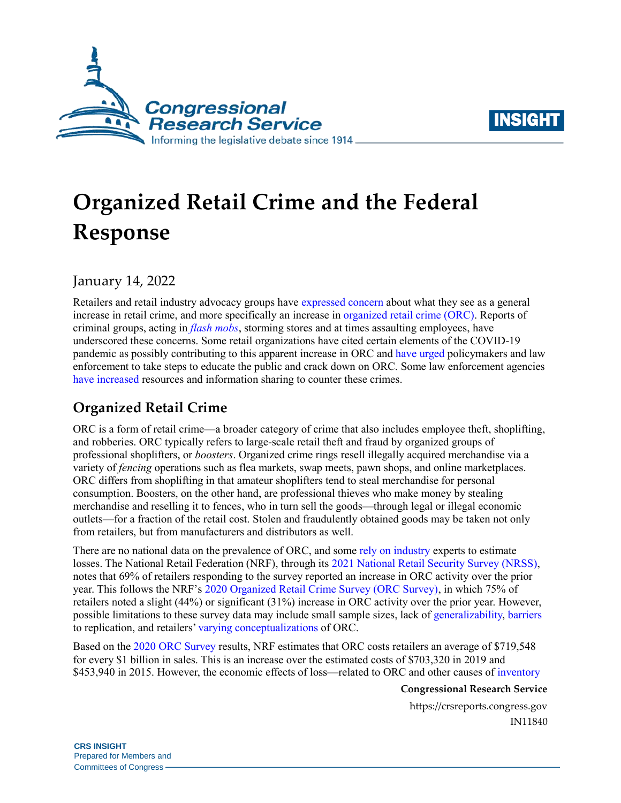



# **Organized Retail Crime and the Federal Response**

January 14, 2022

Retailers and retail industry advocacy groups have [expressed concern](https://rilastagemedia.blob.core.windows.net/rila-web/rila.web/media/media/pdfs/letters%20to%20hill/2021/ceo-inform-consumers-act-final1.pdf) about what they see as a general increase in retail crime, and more specifically an increase i[n organized retail crime \(ORC\).](https://losspreventionmedia.com/lp-101-organized-retail-crime/) Reports of criminal groups, acting in *[flash mobs](https://www.forbes.com/sites/annakaplan/2021/11/24/string-of-store-robberies-in-california-underline-growing-trend-of-flash-mob-thefts-in-us/?sh=2ba4940a120b)*, storming stores and at times assaulting employees, have underscored these concerns. Some retail organizations have cited certain elements of the COVID-19 pandemic as possibly contributing to this apparent increase in ORC and [have urged](https://www.rila.org/focus-areas/public-policy/retailers-endorse-inform-consumers-act) policymakers and law enforcement to take steps to educate the public and crack down on ORC. Some law enforcement agencies [have increased](https://www.ktvu.com/news/bay-area-law-enforcement-agencies-hope-teaming-up-puts-end-to-flash-mob-robberies) resources and information sharing to counter these crimes.

## **Organized Retail Crime**

ORC is a form of retail crime—a broader category of crime that also includes employee theft, shoplifting, and robberies. ORC typically refers to large-scale retail theft and fraud by organized groups of professional shoplifters, or *boosters*. Organized crime rings resell illegally acquired merchandise via a variety of *fencing* operations such as flea markets, swap meets, pawn shops, and online marketplaces. ORC differs from shoplifting in that amateur shoplifters tend to steal merchandise for personal consumption. Boosters, on the other hand, are professional thieves who make money by stealing merchandise and reselling it to fences, who in turn sell the goods—through legal or illegal economic outlets—for a fraction of the retail cost. Stolen and fraudulently obtained goods may be taken not only from retailers, but from manufacturers and distributors as well.

There are no national data on the prevalence of ORC, and some [rely on industry](https://www.justice.gov/sites/default/files/jmd/legacy/2013/10/03/fbi-justification.pdf#page=42) experts to estimate losses. The National Retail Federation (NRF), through its [2021 National Retail Security Survey](https://cdn.nrf.com/sites/default/files/2021-08/2021%20National%20Retail%20Security%20Survey%20updated.pdf) (NRSS), notes that 69% of retailers responding to the survey reported an increase in ORC activity over the prior year. This follows the NRF's [2020 Organized Retail Crime Survey](https://nrf.com/research/2020-organized-retail-crime-survey) (ORC Survey), in which 75% of retailers noted a slight (44%) or significant (31%) increase in ORC activity over the prior year. However, possible limitations to these survey data may include small sample sizes, lack of [generalizability,](https://cdn.nrf.com/sites/default/files/2020-12/2020%20Organized%20Retail%20Crime%20Survey_0.pdf) [barriers](https://www.theatlantic.com/health/archive/2021/12/shoplifting-holiday-theft-panic/621108/) to replication, and retailers[' varying conceptualizations](https://losspreventionmedia.com/a-little-less-talk-and-a-lot-more-research/) of ORC.

Based on the 2020 ORC [Survey](https://nrf.com/research/2020-organized-retail-crime-survey) results, NRF estimates that ORC costs retailers an average of \$719,548 for every \$1 billion in sales. This is an increase over the estimated costs of \$703,320 in 2019 and \$453,940 in 2015. However, the economic effects of loss—related to ORC and other causes of inventory

#### **Congressional Research Service**

https://crsreports.congress.gov IN11840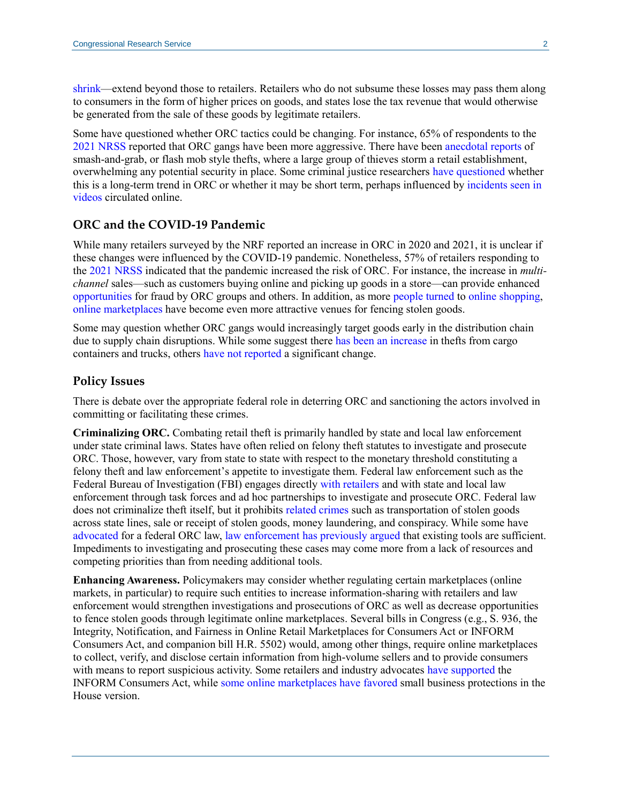[shrink—](https://losspreventionmedia.com/how-to-calculate-shrinkage-in-retail/)extend beyond those to retailers. Retailers who do not subsume these losses may pass them along to consumers in the form of higher prices on goods, and states lose the tax revenue that would otherwise be generated from the sale of these goods by legitimate retailers.

Some have questioned whether ORC tactics could be changing. For instance, 65% of respondents to the [2021 NRSS](https://cdn.nrf.com/sites/default/files/2021-08/2021%20National%20Retail%20Security%20Survey%20updated.pdf) reported that ORC gangs have been more aggressive. There have been [anecdotal](https://www.theguardian.com/us-news/2021/dec/17/explainer-california-mass-thefts-retail-policing) reports of smash-and-grab, or flash mob style thefts, where a large group of thieves storm a retail establishment, overwhelming any potential security in place. Some criminal justice researchers [have questioned](https://www.washingtonpost.com/business/2021/12/03/retail-theft-organized-crime/) whether this is a long-term trend in ORC or whether it may be short term, perhaps influenced by [incidents seen in](https://www.businessinsider.com/high-end-retailers-smash-and-grab-robberies-expert-imitation-2021-11)  [videos](https://www.businessinsider.com/high-end-retailers-smash-and-grab-robberies-expert-imitation-2021-11) circulated online.

#### **ORC and the COVID-19 Pandemic**

While many retailers surveyed by the NRF reported an increase in ORC in 2020 and 2021, it is unclear if these changes were influenced by the COVID-19 pandemic. Nonetheless, 57% of retailers responding to the [2021 NRSS](https://cdn.nrf.com/sites/default/files/2021-08/2021%20National%20Retail%20Security%20Survey%20updated.pdf) indicated that the pandemic increased the risk of ORC. For instance, the increase in *multichannel* sales—such as customers buying online and picking up goods in a store—can provide enhanced [opportunities](https://www.csoonline.com/article/3262977/why-ecommerce-fraud-needs-a-multichannel-response.html) for fraud by ORC groups and others. In addition, as more [people turned](https://www.politico.com/news/2021/11/18/covid-retail-e-commerce-environment-522786) to [online shopping,](https://www.census.gov/retail/index.html#ecommerce) [online marketplaces](https://www.npr.org/2021/12/07/1062016956/how-online-markets-may-be-contributing-to-organized-retail-crime) have become even more attractive venues for fencing stolen goods.

Some may question whether ORC gangs would increasingly target goods early in the distribution chain due to supply chain disruptions. While some suggest there has been [an increase](https://rilastagemedia.blob.core.windows.net/rila-web/rila.web/media/media/campaigns/buy%20safe%20america/fact%20sheets/the-impact-of-organized-crime-and-theft-in-the-united-states.pdf) in thefts from cargo containers and trucks, others [have not reported](https://cdn.nrf.com/sites/default/files/2021-08/2021%20National%20Retail%20Security%20Survey%20updated.pdf) a significant change.

#### **Policy Issues**

There is debate over the appropriate federal role in deterring ORC and sanctioning the actors involved in committing or facilitating these crimes.

**Criminalizing ORC.** Combating retail theft is primarily handled by state and local law enforcement under state criminal laws. States have often relied on felony theft statutes to investigate and prosecute ORC. Those, however, vary from state to state with respect to the monetary threshold constituting a felony theft and law enforcement's appetite to investigate them. Federal law enforcement such as the Federal Bureau of Investigation (FBI) engages directly [with retailers](https://www.rila.org/blog/2021/10/rila-fbi-collaborate-curb-organized-retail-crime) and with state and local law enforcement through task forces and ad hoc partnerships to investigate and prosecute ORC. Federal law does not criminalize theft itself, but it prohibits [related crimes](https://crsreports.congress.gov/product/pdf/R/R41118#_Toc10199925) such as transportation of stolen goods across state lines, sale or receipt of stolen goods, money laundering, and conspiracy. While some have [advocated](https://cdn.nrf.com/sites/default/files/2021-08/2021%20National%20Retail%20Security%20Survey%20updated.pdf) for a federal ORC law, [law enforcement has previously argued](https://www.govinfo.gov/content/pkg/CHRG-111hhrg53231/html/CHRG-111hhrg53231.htm) that existing tools are sufficient. Impediments to investigating and prosecuting these cases may come more from a lack of resources and competing priorities than from needing additional tools.

**Enhancing Awareness.** Policymakers may consider whether regulating certain marketplaces (online markets, in particular) to require such entities to increase information-sharing with retailers and law enforcement would strengthen investigations and prosecutions of ORC as well as decrease opportunities to fence stolen goods through legitimate online marketplaces. Several bills in Congress (e.g., [S. 936,](http://www.congress.gov/cgi-lis/bdquery/z?d117:S.936:) the Integrity, Notification, and Fairness in Online Retail Marketplaces for Consumers Act or INFORM Consumers Act, and companion bill [H.R. 5502\)](http://www.congress.gov/cgi-lis/bdquery/z?d117:H.R.5502:) would, among other things, require online marketplaces to collect, verify, and disclose certain information from high-volume sellers and to provide consumers with means to report suspicious activity. Some retailers and industry advocates [have supported](https://www.rila.org/focus-areas/public-policy/retailers-endorse-inform-consumers-act) the INFORM Consumers Act, while [some online marketplaces have favored](https://www.aboutamazon.com/news/policy-news-views/amazon-supports-the-u-s-house-version-of-the-inform-act) small business protections in the House version.